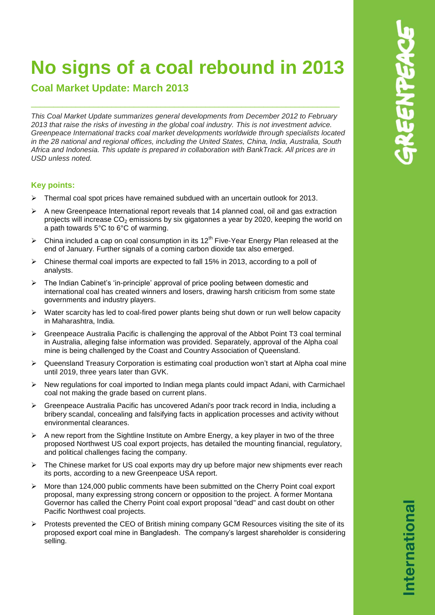# **No signs of a coal rebound in 2013**

\_\_\_\_\_\_\_\_\_\_\_\_\_\_\_\_\_\_\_\_\_\_\_\_\_\_\_\_\_\_\_\_\_\_\_\_\_\_\_\_\_\_\_\_\_\_\_\_\_\_\_\_\_\_\_\_\_\_\_\_\_\_\_\_\_\_\_\_\_

**Coal Market Update: March 2013**

*This Coal Market Update summarizes general developments from December 2012 to February 2013 that raise the risks of investing in the global coal industry. This is not investment advice. Greenpeace International tracks coal market developments worldwide through specialists located in the 28 national and regional offices, including the United States, China, India, Australia, South Africa and Indonesia. This update is prepared in collaboration with BankTrack. All prices are in USD unless noted.*

## **Key points:**

- $\triangleright$  Thermal coal spot prices have remained subdued with an uncertain outlook for 2013.
- $\triangleright$  A new Greenpeace International report reveals that 14 planned coal, oil and gas extraction projects will increase  $CO<sub>2</sub>$  emissions by six gigatonnes a year by 2020, keeping the world on a path towards 5°C to 6°C of warming.
- $\triangleright$  China included a cap on coal consumption in its 12<sup>th</sup> Five-Year Energy Plan released at the end of January. Further signals of a coming carbon dioxide tax also emerged.
- $\triangleright$  Chinese thermal coal imports are expected to fall 15% in 2013, according to a poll of analysts.
- $\triangleright$  The Indian Cabinet's 'in-principle' approval of price pooling between domestic and international coal has created winners and losers, drawing harsh criticism from some state governments and industry players.
- $\triangleright$  Water scarcity has led to coal-fired power plants being shut down or run well below capacity in Maharashtra, India.
- $\triangleright$  Greenpeace Australia Pacific is challenging the approval of the Abbot Point T3 coal terminal in Australia, alleging false information was provided. Separately, approval of the Alpha coal mine is being challenged by the Coast and Country Association of Queensland.
- ▶ Queensland Treasury Corporation is estimating coal production won't start at Alpha coal mine until 2019, three years later than GVK.
- $\triangleright$  New regulations for coal imported to Indian mega plants could impact Adani, with Carmichael coal not making the grade based on current plans.
- Greenpeace Australia Pacific has uncovered Adani's poor track record in India, including a bribery scandal, concealing and falsifying facts in application processes and activity without environmental clearances.
- $\triangleright$  A new report from the Sightline Institute on Ambre Energy, a key player in two of the three proposed Northwest US coal export projects, has detailed the mounting financial, regulatory, and political challenges facing the company.
- $\triangleright$  The Chinese market for US coal exports may dry up before major new shipments ever reach its ports, according to a new Greenpeace USA report.
- $\triangleright$  More than 124,000 public comments have been submitted on the Cherry Point coal export proposal, many expressing strong concern or opposition to the project. A former Montana Governor has called the Cherry Point coal export proposal "dead" and cast doubt on other Pacific Northwest coal projects.
- $\triangleright$  Protests prevented the CEO of British mining company GCM Resources visiting the site of its proposed export coal mine in Bangladesh. The company's largest shareholder is considering selling.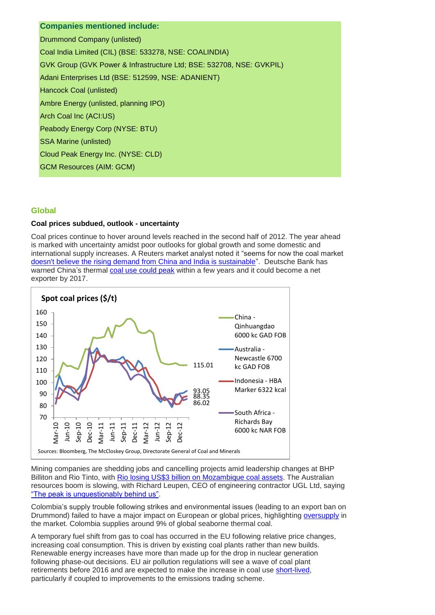## **Companies mentioned include:**

Drummond Company (unlisted) Coal India Limited (CIL) (BSE: 533278, NSE: COALINDIA) GVK Group (GVK Power & Infrastructure Ltd; BSE: 532708, NSE: GVKPIL) Adani Enterprises Ltd (BSE: 512599, NSE: ADANIENT) Hancock Coal (unlisted) Ambre Energy (unlisted, planning IPO) Arch Coal Inc (ACI:US) Peabody Energy Corp (NYSE: BTU) SSA Marine (unlisted) Cloud Peak Energy Inc. (NYSE: CLD) GCM Resources (AIM: GCM)

#### **Global**

#### **Coal prices subdued, outlook - uncertainty**

Coal prices continue to hover around levels reached in the second half of 2012. The year ahead is marked with uncertainty amidst poor outlooks for global growth and some domestic and international supply increases. A Reuters market analyst noted it "seems for now the coal market [doesn't believe the rising demand from China and India is sustainable"](http://www.reuters.com/article/2013/01/22/column-russell-coal-china-idUSL4N0AR1I320130122). Deutsche Bank has warned China's thermal [coal use could](http://reneweconomy.com.au/2013/fossil-fuels-put-on-notice-the-party-is-about-to-end-55039) peak within a few years and it could become a net exporter by 2017.



Mining companies are shedding jobs and cancelling projects amid leadership changes at BHP Billiton and Rio Tinto, with [Rio losing US\\$3 billion on Mozambique coal assets.](http://www.bloomberg.com/news/2013-02-19/rio-s-3-billion-mozambique-coal-bid-runs-off-the-rails-freight.html) The Australian resources boom is slowing, with Richard Leupen, CEO of engineering contractor UGL Ltd, saying ["The peak is unquestionably behind us".](http://www.bloomberg.com/news/2013-02-28/mining-boom-in-australia-edges-past-peak-as-ugl-touches-low.html)

Colombia's supply trouble following strikes and environmental issues (leading to an export ban on Drummond) failed to have a major impact on European or global prices, highlighting [oversupply](http://www.reuters.com/article/2013/02/25/coal-supply-colombia-idUSL6N0BP6CJ20130225) in the market. Colombia supplies around 9% of global seaborne thermal coal.

A temporary fuel shift from gas to coal has occurred in the EU following relative price changes, increasing coal consumption. This is driven by existing coal plants rather than new builds. Renewable energy increases have more than made up for the drop in nuclear generation following phase-out decisions. EU air pollution regulations will see a wave of coal plant retirements before 2016 and are expected to make the increase in coal use [short-lived,](http://www.huffingtonpost.com/justin-guay/europes-coal-renaissance-industry_b_2535187.html?utm_hp_ref=fb&src=sp&comm_ref=false) particularly if coupled to improvements to the emissions trading scheme.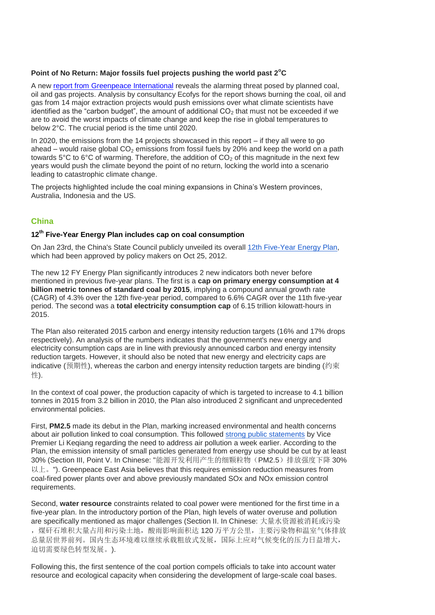#### **Point of No Return: Major fossils fuel projects pushing the world past 2<sup>o</sup>C**

A new [report from Greenpeace International](http://www.greenpeace.org/international/en/publications/Campaign-reports/Climate-Reports/Point-of-No-Return/) reveals the alarming threat posed by planned coal, oil and gas projects. Analysis by consultancy Ecofys for the report shows burning the coal, oil and gas from 14 major extraction projects would push emissions over what climate scientists have identified as the "carbon budget", the amount of additional  $CO<sub>2</sub>$  that must not be exceeded if we are to avoid the worst impacts of climate change and keep the rise in global temperatures to below 2°C. The crucial period is the time until 2020.

In 2020, the emissions from the 14 projects showcased in this report – if they all were to go ahead – would raise global  $CO<sub>2</sub>$  emissions from fossil fuels by 20% and keep the world on a path towards 5°C to 6°C of warming. Therefore, the addition of  $CO<sub>2</sub>$  of this magnitude in the next few years would push the climate beyond the point of no return, locking the world into a scenario leading to catastrophic climate change.

The projects highlighted include the coal mining expansions in China's Western provinces, Australia, Indonesia and the US.

## **China**

### **12th Five-Year Energy Plan includes cap on coal consumption**

On Jan 23rd, the China's State Council publicly unveiled its overall [12th Five-Year Energy Plan,](http://www.gov.cn/zwgk/2013-01/23/content_2318554.htm) which had been approved by policy makers on Oct 25, 2012.

The new 12 FY Energy Plan significantly introduces 2 new indicators both never before mentioned in previous five-year plans. The first is a **cap on primary energy consumption at 4 billion metric tonnes of standard coal by 2015**, implying a compound annual growth rate (CAGR) of 4.3% over the 12th five-year period, compared to 6.6% CAGR over the 11th five-year period. The second was a **total electricity consumption cap** of 6.15 trillion kilowatt-hours in 2015.

The Plan also reiterated 2015 carbon and energy intensity reduction targets (16% and 17% drops respectively). An analysis of the numbers indicates that the government's new energy and electricity consumption caps are in line with previously announced carbon and energy intensity reduction targets. However, it should also be noted that new energy and electricity caps are indicative (预期性), whereas the carbon and energy intensity reduction targets are binding (约束 性).

In the context of coal power, the production capacity of which is targeted to increase to 4.1 billion tonnes in 2015 from 3.2 billion in 2010, the Plan also introduced 2 significant and unprecedented environmental policies.

First, **PM2.5** made its debut in the Plan, marking increased environmental and health concerns about air pollution linked to coal consumption. This followed [strong public statements](http://www.huffingtonpost.com/2013/01/15/china-premier-designate-li-keqiang_n_2477876.html) by Vice Premier Li Keqiang regarding the need to address air pollution a week earlier. According to the Plan, the emission intensity of small particles generated from energy use should be cut by at least 30% (Section III, Point V. In Chinese: "能源开发利用产生的细颗粒物(PM2.5)排放强度下降 30%  $\mathbb{U} \vdash_{s}$ "). Greenpeace East Asia believes that this requires emission reduction measures from coal-fired power plants over and above previously mandated SOx and NOx emission control requirements.

Second, **water resource** constraints related to coal power were mentioned for the first time in a five-year plan. In the introductory portion of the Plan, high levels of water overuse and pollution are specifically mentioned as major challenges (Section II. In Chinese: 大量水资源被消耗或污染 ,煤矸石堆积大量占用和污染土地,酸雨影响面积达 120 万平方公里,主要污染物和温室气体排放 总量居世界前列。国内生态环境难以继续承载粗放式发展,国际上应对气候变化的压力日益增大, 迫切需要绿色转型发展。).

Following this, the first sentence of the coal portion compels officials to take into account water resource and ecological capacity when considering the development of large-scale coal bases.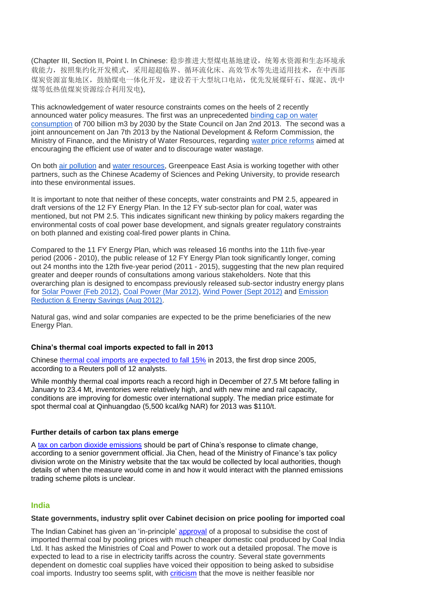(Chapter III, Section II, Point I. In Chinese: 稳步推进大型煤电基地建设,统第水资源和生态环境承 载能力,按照集约化开发模式,采用超超临界、循环流化床、高效节水等先进适用技术,在中西部 煤炭资源富集地区,鼓励煤电一体化开发,建设若干大型坑口电站,优先发展煤矸石、煤泥、洗中 煤等低热值煤炭资源综合利用发电),

This acknowledgement of water resource constraints comes on the heels of 2 recently announced water policy measures. The first was an unprecedented [binding cap on water](http://www.gov.cn/zwgk/2013-01/06/content_2305762.htm)  [consumption](http://www.gov.cn/zwgk/2013-01/06/content_2305762.htm) of 700 billion m3 by 2030 by the State Council on Jan 2nd 2013. The second was a joint announcement on Jan 7th 2013 by the National Development & Reform Commission, the Ministry of Finance, and the Ministry of Water Resources, regarding [water price reforms](http://www.gov.cn/zwgk/2013-01/14/content_2311387.htm) aimed at encouraging the efficient use of water and to discourage water wastage.

On both [air pollution](http://www.greenpeace.org/eastasia/press/releases/climate-energy/2012/air-pollution-health-economic/) and [water resources,](http://www.greenpeace.org/eastasia/press/releases/climate-energy/2012/coal-power-water-crisis/) Greenpeace East Asia is working together with other partners, such as the Chinese Academy of Sciences and Peking University, to provide research into these environmental issues.

It is important to note that neither of these concepts, water constraints and PM 2.5, appeared in draft versions of the 12 FY Energy Plan. In the 12 FY sub-sector plan for coal, water was mentioned, but not PM 2.5. This indicates significant new thinking by policy makers regarding the environmental costs of coal power base development, and signals greater regulatory constraints on both planned and existing coal-fired power plants in China.

Compared to the 11 FY Energy Plan, which was released 16 months into the 11th five-year period (2006 - 2010), the public release of 12 FY Energy Plan took significantly longer, coming out 24 months into the 12th five-year period (2011 - 2015), suggesting that the new plan required greater and deeper rounds of consultations among various stakeholders. Note that this overarching plan is designed to encompass previously released sub-sector industry energy plans for [Solar Power \(Feb 2012\),](http://www.gov.cn/gzdt/2012-02/24/content_2075802.htm) [Coal Power \(Mar 2012\),](http://www.ndrc.gov.cn/zcfb/zcfbtz/2012tz/t20120322_468769.htm) Wind [Power \(Sept 2012\)](http://www.china5e.com/show.php?contentid=262016) and [Emission](http://www.gov.cn/zwgk/2012-08/21/content_2207867.htm)  [Reduction & Energy Savings \(Aug 2012\).](http://www.gov.cn/zwgk/2012-08/21/content_2207867.htm)

Natural gas, wind and solar companies are expected to be the prime beneficiaries of the new Energy Plan.

#### **China's thermal coal imports expected to fall in 2013**

Chinese [thermal coal imports are expected to fall 15%](http://in.reuters.com/article/2013/02/06/china-coal-poll-idINT9N0B600020130206) in 2013, the first drop since 2005, according to a Reuters poll of 12 analysts.

While monthly thermal coal imports reach a record high in December of 27.5 Mt before falling in January to 23.4 Mt, inventories were relatively high, and with new mine and rail capacity, conditions are improving for domestic over international supply. The median price estimate for spot thermal coal at Qinhuangdao (5,500 kcal/kg NAR) for 2013 was \$110/t.

#### **Further details of carbon tax plans emerge**

A [tax on carbon dioxide emissions](http://www.chinadaily.com.cn/china/2013-02/19/content_16238217.htm) should be part of China's response to climate change, according to a senior government official. Jia Chen, head of the Ministry of Finance's tax policy division wrote on the Ministry website that the tax would be collected by local authorities, though details of when the measure would come in and how it would interact with the planned emissions trading scheme pilots is unclear.

#### **India**

#### **State governments, industry split over Cabinet decision on price pooling for imported coal**

The Indian Cabinet has given an 'in-principle' [approval](http://www.business-standard.com/article/economy-policy/cabinet-gives-in-principle-nod-to-coal-price-pooling-defers-final-decision-113020500183_1.html) of a proposal to subsidise the cost of imported thermal coal by pooling prices with much cheaper domestic coal produced by Coal India Ltd. It has asked the Ministries of Coal and Power to work out a detailed proposal. The move is expected to lead to a rise in electricity tariffs across the country. Several state governments dependent on domestic coal supplies have voiced their opposition to being asked to subsidise coal imports. Industry too seems split, with [criticism](http://www.sunday-guardian.com/business/indian-companies-reject-pooling-of-coal-prices) that the move is neither feasible nor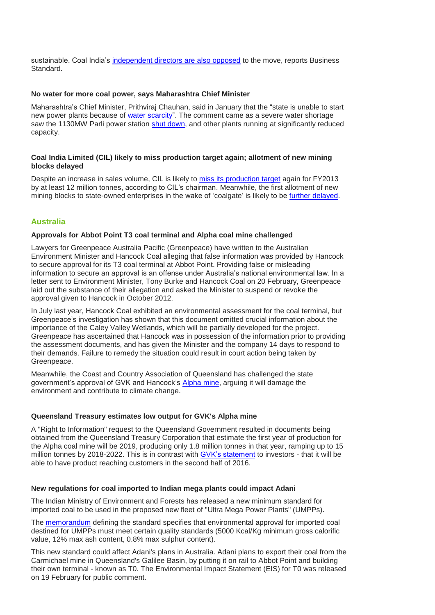sustainable. Coal India's [independent directors are also opposed](http://www.business-standard.com/article/economy-policy/coal-india-independent-directors-opposed-to-price-pooling-113021000608_1.html) to the move, reports Business Standard.

#### **No water for more coal power, says Maharashtra Chief Minister**

Maharashtra's Chief Minister, Prithviraj Chauhan, said in January that the "state is unable to start new power plants because of [water scarcity"](http://timesofindia.indiatimes.com/city/mumbai/Parli-power-plant-may-be-shut-down/articleshow/18176326.cms?intenttarget=no). The comment came as a severe water shortage saw the 1130MW Parli power station [shut down,](http://articles.timesofindia.indiatimes.com/2013-02-18/aurangabad/37161065_1_mw-power-power-station-mw-capacity) and other plants running at significantly reduced capacity.

#### **Coal India Limited (CIL) likely to miss production target again; allotment of new mining blocks delayed**

Despite an increase in sales volume, CIL is likely to [miss its production target](http://www.thehindubusinessline.com/companies/monsoon-plays-havoc-with-coal-india-output/article4419405.ece) again for FY2013 by at least 12 million tonnes, according to CIL's chairman. Meanwhile, the first allotment of new mining blocks to state-owned enterprises in the wake of 'coalgate' is likely to be [further delayed](http://www.dnaindia.com/money/report_coal-block-allocations-set-to-be-delayed_1799779).

## **Australia**

#### **Approvals for Abbot Point T3 coal terminal and Alpha coal mine challenged**

Lawyers for Greenpeace Australia Pacific (Greenpeace) have written to the Australian Environment Minister and Hancock Coal alleging that false information was provided by Hancock to secure approval for its T3 coal terminal at Abbot Point. Providing false or misleading information to secure an approval is an offense under Australia's national environmental law. In a letter sent to Environment Minister, Tony Burke and Hancock Coal on 20 February, Greenpeace laid out the substance of their allegation and asked the Minister to suspend or revoke the approval given to Hancock in October 2012.

In July last year, Hancock Coal exhibited an environmental assessment for the coal terminal, but Greenpeace's investigation has shown that this document omitted crucial information about the importance of the Caley Valley Wetlands, which will be partially developed for the project. Greenpeace has ascertained that Hancock was in possession of the information prior to providing the assessment documents, and has given the Minister and the company 14 days to respond to their demands. Failure to remedy the situation could result in court action being taken by Greenpeace.

Meanwhile, the Coast and Country Association of Queensland has challenged the state government's approval of GVK and Hancock's [Alpha mine,](http://www.bloomberg.com/news/2013-02-21/gina-rinehart-coal-mine-draws-opposition-from-environmentalists.html) arguing it will damage the environment and contribute to climate change.

#### **Queensland Treasury estimates low output for GVK's Alpha mine**

A "Right to Information" request to the Queensland Government resulted in documents being obtained from the Queensland Treasury Corporation that estimate the first year of production for the Alpha coal mine will be 2019, producing only 1.8 million tonnes in that year, ramping up to 15 million tonnes by 2018-2022. This is in contrast with [GVK's statement](http://hancockcoal.com.au/go/news/gvk-forges-ahead-in-opening-up-the-galilee-basin) to investors - that it will be able to have product reaching customers in the second half of 2016.

#### **New regulations for coal imported to Indian mega plants could impact Adani**

The Indian Ministry of Environment and Forests has released a new minimum standard for imported coal to be used in the proposed new fleet of "Ultra Mega Power Plants" (UMPPs).

The [memorandum](http://envfor.nic.in/assets/om-050513.pdf) defining the standard specifies that environmental approval for imported coal destined for UMPPs must meet certain quality standards (5000 Kcal/Kg minimum gross calorific value, 12% max ash content, 0.8% max sulphur content).

This new standard could affect Adani's plans in Australia. Adani plans to export their coal from the Carmichael mine in Queensland's Galilee Basin, by putting it on rail to Abbot Point and building their own terminal - known as T0. The Environmental Impact Statement (EIS) for T0 was released on 19 February for public comment.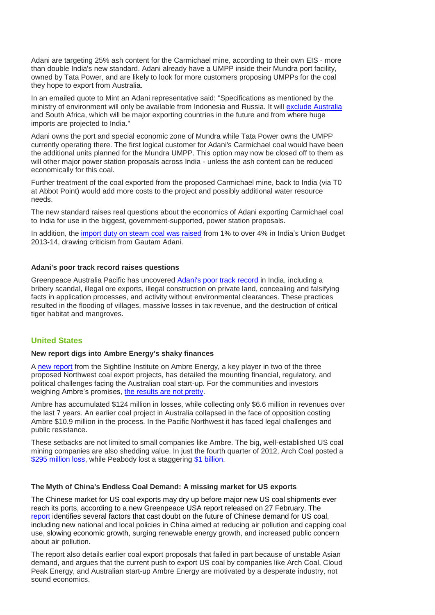Adani are targeting 25% ash content for the Carmichael mine, according to their own EIS - more than double India's new standard. Adani already have a UMPP inside their Mundra port facility, owned by Tata Power, and are likely to look for more customers proposing UMPPs for the coal they hope to export from Australia.

In an emailed quote to Mint an Adani representative said: "Specifications as mentioned by the ministry of environment will only be available from Indonesia and Russia. It will [exclude Australia](http://livemint.com/Industry/ruTZoaEQPUtprleESD665J/Power-projects-face-highgrade-coal-hurdle.html) and South Africa, which will be major exporting countries in the future and from where huge imports are projected to India."

Adani owns the port and special economic zone of Mundra while Tata Power owns the UMPP currently operating there. The first logical customer for Adani's Carmichael coal would have been the additional units planned for the Mundra UMPP. This option may now be closed off to them as will other major power station proposals across India - unless the ash content can be reduced economically for this coal.

Further treatment of the coal exported from the proposed Carmichael mine, back to India (via T0 at Abbot Point) would add more costs to the project and possibly additional water resource needs.

The new standard raises real questions about the economics of Adani exporting Carmichael coal to India for use in the biggest, government-supported, power station proposals.

In addition, the [import duty on steam coal was raised](http://www.thehindubusinessline.com/industry-and-economy/government-and-policy/adani-welcomes-prudent-budget-laments-increased-duty-on-steam-coal/article4462550.ece) from 1% to over 4% in India's Union Budget 2013-14, drawing criticism from Gautam Adani.

#### **Adani's poor track record raises questions**

Greenpeace Australia Pacific has uncovered [Adani's poor track record](http://www.greenpeace.org/australia/Global/australia/volunteer/Adani) in India, including a bribery scandal, illegal ore exports, illegal construction on private land, concealing and falsifying facts in application processes, and activity without environmental clearances. These practices resulted in the flooding of villages, massive losses in tax revenue, and the destruction of critical tiger habitat and mangroves.

#### **United States**

#### **New report digs into Ambre Energy's shaky finances**

A [new report](http://www.sightline.org/research/ambre-energy-caveat-investor/) from the Sightline Institute on Ambre Energy, a key player in two of the three proposed Northwest coal export projects, has detailed the mounting financial, regulatory, and political challenges facing the Australian coal start-up. For the communities and investors weighing Ambre's promises, [the results are not pretty.](http://www.oregonlive.com/environment/index.ssf/2013/02/ambre_energys_plans_for_northw.html)

Ambre has accumulated \$124 million in losses, while collecting only \$6.6 million in revenues over the last 7 years. An earlier coal project in Australia collapsed in the face of opposition costing Ambre \$10.9 million in the process. In the Pacific Northwest it has faced legal challenges and public resistance.

These setbacks are not limited to small companies like Ambre. The big, well-established US coal mining companies are also shedding value. In just the fourth quarter of 2012, Arch Coal posted a [\\$295 million loss,](http://www.stltoday.com/business/local/arch-coal-posts-million-q-loss/article_9f56b47b-72bd-5507-a343-a02904549fcc.html) while Peabody lost a staggering [\\$1 billion.](http://www.bizjournals.com/stlouis/news/2013/01/29/peabody-posts-1-billion-loss-in-q4.html?page=all)

#### **The Myth of China's Endless Coal Demand: A missing market for US exports**

The Chinese market for US coal exports may dry up before major new US coal shipments ever reach its ports, according to a new Greenpeace USA report released on 27 February. The [report](http://www.greenpeace.org/usa/en/media-center/reports/Myth-of-China-Endless-Coal-Demand/) identifies several factors that cast doubt on the future of Chinese demand for US coal, including new national and local policies in China aimed at reducing air pollution and capping coal use, slowing economic growth, surging renewable energy growth, and increased public concern about air pollution.

The report also details earlier coal export proposals that failed in part because of unstable Asian demand, and argues that the current push to export US coal by companies like Arch Coal, Cloud Peak Energy, and Australian start-up Ambre Energy are motivated by a desperate industry, not sound economics.